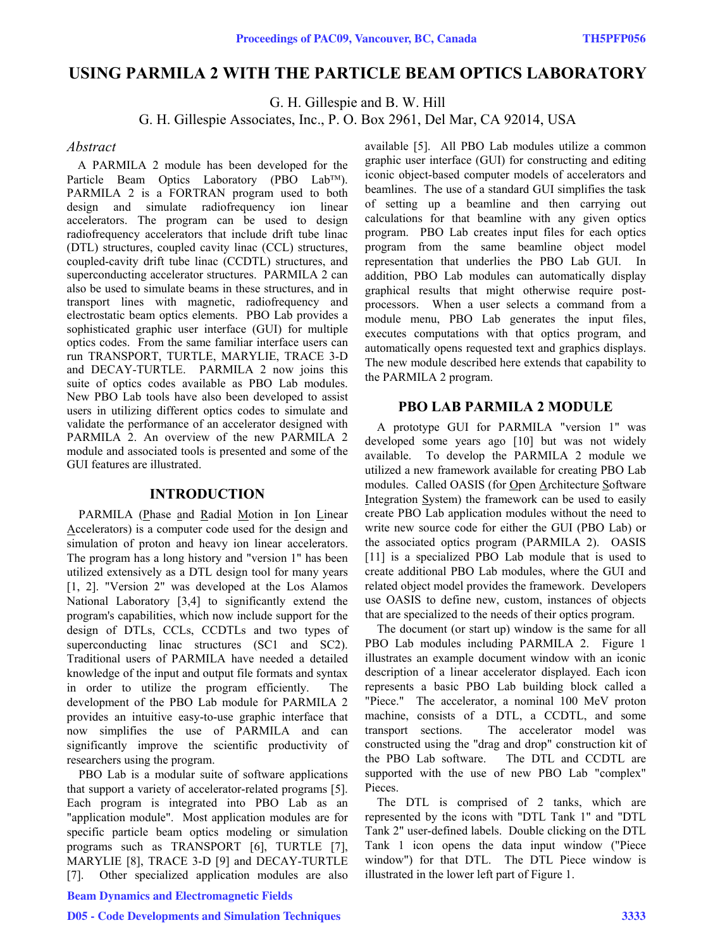# **USING PARMILA 2 WITH THE PARTICLE BEAM OPTICS LABORATORY**

G. H. Gillespie and B. W. Hill

G. H. Gillespie Associates, Inc., P. O. Box 2961, Del Mar, CA 92014, USA

### *Abstract*

A PARMILA 2 module has been developed for the Particle Beam Optics Laboratory (PBO Lab™). PARMILA 2 is a FORTRAN program used to both design and simulate radiofrequency ion linear accelerators. The program can be used to design radiofrequency accelerators that include drift tube linac (DTL) structures, coupled cavity linac (CCL) structures, coupled-cavity drift tube linac (CCDTL) structures, and superconducting accelerator structures. PARMILA 2 can also be used to simulate beams in these structures, and in transport lines with magnetic, radiofrequency and electrostatic beam optics elements. PBO Lab provides a sophisticated graphic user interface (GUI) for multiple optics codes. From the same familiar interface users can run TRANSPORT, TURTLE, MARYLIE, TRACE 3-D and DECAY-TURTLE. PARMILA 2 now joins this suite of optics codes available as PBO Lab modules. New PBO Lab tools have also been developed to assist users in utilizing different optics codes to simulate and validate the performance of an accelerator designed with PARMILA 2. An overview of the new PARMILA 2 module and associated tools is presented and some of the GUI features are illustrated.

# **INTRODUCTION**

PARMILA (Phase and Radial Motion in Ion Linear Accelerators) is a computer code used for the design and simulation of proton and heavy ion linear accelerators. The program has a long history and "version 1" has been utilized extensively as a DTL design tool for many years [1, 2]. "Version 2" was developed at the Los Alamos National Laboratory [3,4] to significantly extend the program's capabilities, which now include support for the design of DTLs, CCLs, CCDTLs and two types of superconducting linac structures (SC1 and SC2). Traditional users of PARMILA have needed a detailed knowledge of the input and output file formats and syntax in order to utilize the program efficiently. The development of the PBO Lab module for PARMILA 2 provides an intuitive easy-to-use graphic interface that now simplifies the use of PARMILA and can significantly improve the scientific productivity of researchers using the program.

PBO Lab is a modular suite of software applications that support a variety of accelerator-related programs [5]. Each program is integrated into PBO Lab as an "application module". Most application modules are for specific particle beam optics modeling or simulation programs such as TRANSPORT [6], TURTLE [7], MARYLIE [8], TRACE 3-D [9] and DECAY-TURTLE [7]. Other specialized application modules are also

## Beam Dynamics and Electromagnetic Fields

available [5]. All PBO Lab modules utilize a common graphic user interface (GUI) for constructing and editing iconic object-based computer models of accelerators and beamlines. The use of a standard GUI simplifies the task of setting up a beamline and then carrying out calculations for that beamline with any given optics program. PBO Lab creates input files for each optics program from the same beamline object model representation that underlies the PBO Lab GUI. In addition, PBO Lab modules can automatically display graphical results that might otherwise require postprocessors. When a user selects a command from a module menu, PBO Lab generates the input files, executes computations with that optics program, and automatically opens requested text and graphics displays. The new module described here extends that capability to the PARMILA 2 program.

### **PBO LAB PARMILA 2 MODULE**

A prototype GUI for PARMILA "version 1" was developed some years ago [10] but was not widely available. To develop the PARMILA 2 module we utilized a new framework available for creating PBO Lab modules. Called OASIS (for Open Architecture Software Integration System) the framework can be used to easily create PBO Lab application modules without the need to write new source code for either the GUI (PBO Lab) or the associated optics program (PARMILA 2). OASIS [11] is a specialized PBO Lab module that is used to create additional PBO Lab modules, where the GUI and related object model provides the framework. Developers use OASIS to define new, custom, instances of objects that are specialized to the needs of their optics program.

The document (or start up) window is the same for all PBO Lab modules including PARMILA 2. Figure 1 illustrates an example document window with an iconic description of a linear accelerator displayed. Each icon represents a basic PBO Lab building block called a "Piece." The accelerator, a nominal 100 MeV proton machine, consists of a DTL, a CCDTL, and some transport sections. The accelerator model was constructed using the "drag and drop" construction kit of the PBO Lab software. The DTL and CCDTL are supported with the use of new PBO Lab "complex" Pieces.

The DTL is comprised of 2 tanks, which are represented by the icons with "DTL Tank 1" and "DTL Tank 2" user-defined labels. Double clicking on the DTL Tank 1 icon opens the data input window ("Piece window") for that DTL. The DTL Piece window is illustrated in the lower left part of Figure 1.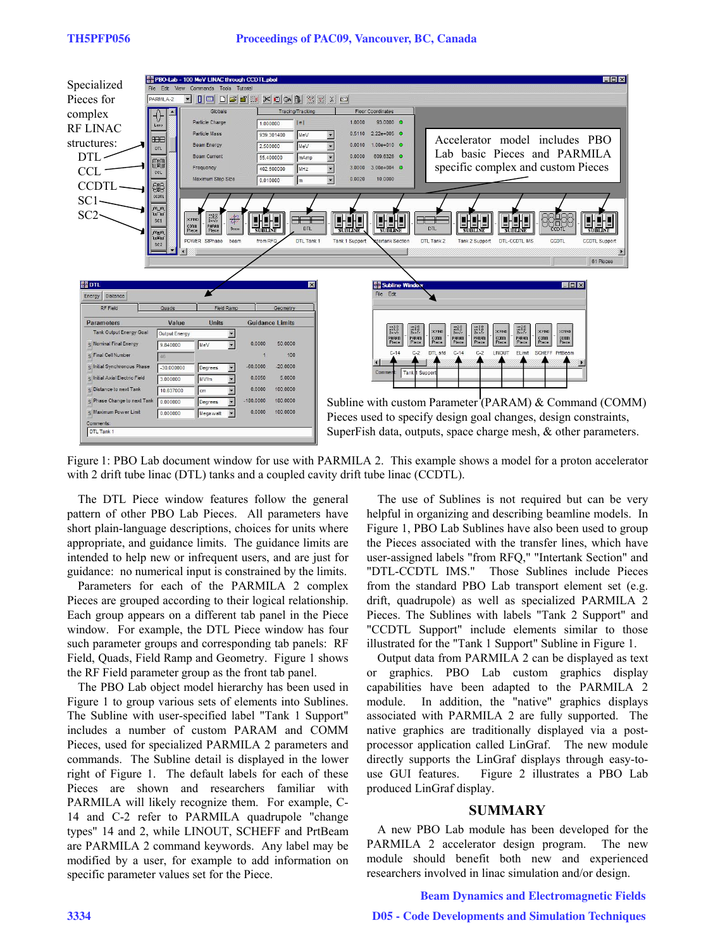

Figure 1: PBO Lab document window for use with PARMILA 2. This example shows a model for a proton accelerator with 2 drift tube linac (DTL) tanks and a coupled cavity drift tube linac (CCDTL).

The DTL Piece window features follow the general pattern of other PBO Lab Pieces. All parameters have short plain-language descriptions, choices for units where appropriate, and guidance limits. The guidance limits are intended to help new or infrequent users, and are just for guidance: no numerical input is constrained by the limits.

Parameters for each of the PARMILA 2 complex Pieces are grouped according to their logical relationship. Each group appears on a different tab panel in the Piece window. For example, the DTL Piece window has four such parameter groups and corresponding tab panels: RF Field, Quads, Field Ramp and Geometry. Figure 1 shows the RF Field parameter group as the front tab panel.

The PBO Lab object model hierarchy has been used in Figure 1 to group various sets of elements into Sublines. The Subline with user-specified label "Tank 1 Support" includes a number of custom PARAM and COMM Pieces, used for specialized PARMILA 2 parameters and commands. The Subline detail is displayed in the lower right of Figure 1. The default labels for each of these Pieces are shown and researchers familiar with PARMILA will likely recognize them. For example, C-14 and C-2 refer to PARMILA quadrupole "change types" 14 and 2, while LINOUT, SCHEFF and PrtBeam are PARMILA 2 command keywords. Any label may be modified by a user, for example to add information on specific parameter values set for the Piece.

The use of Sublines is not required but can be very helpful in organizing and describing beamline models. In Figure 1, PBO Lab Sublines have also been used to group the Pieces associated with the transfer lines, which have user-assigned labels "from RFQ," "Intertank Section" and "DTL-CCDTL IMS." Those Sublines include Pieces from the standard PBO Lab transport element set (e.g. drift, quadrupole) as well as specialized PARMILA 2 Pieces. The Sublines with labels "Tank 2 Support" and "CCDTL Support" include elements similar to those illustrated for the "Tank 1 Support" Subline in Figure 1.

Output data from PARMILA 2 can be displayed as text or graphics. PBO Lab custom graphics display capabilities have been adapted to the PARMILA 2 module. In addition, the "native" graphics displays associated with PARMILA 2 are fully supported. The native graphics are traditionally displayed via a postprocessor application called LinGraf. The new module directly supports the LinGraf displays through easy-touse GUI features. Figure 2 illustrates a PBO Lab produced LinGraf display.

## **SUMMARY**

A new PBO Lab module has been developed for the PARMILA 2 accelerator design program. The new module should benefit both new and experienced researchers involved in linac simulation and/or design.

#### Beam Dynamics and Electromagnetic Fields